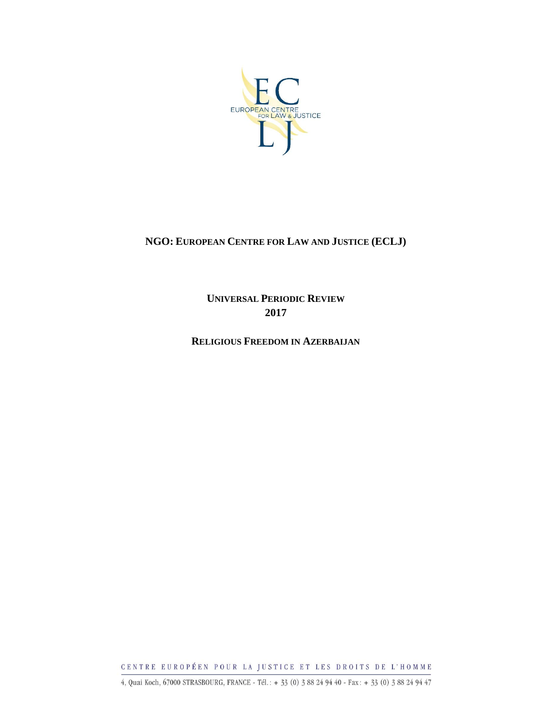

### **NGO: EUROPEAN CENTRE FOR LAW AND JUSTICE (ECLJ)**

**UNIVERSAL PERIODIC REVIEW 2017**

**RELIGIOUS FREEDOM IN AZERBAIJAN**

CENTRE EUROPÉEN POUR LA JUSTICE ET LES DROITS DE L'HOMME

4, Quai Koch, 67000 STRASBOURG, FRANCE - Tél.: + 33 (0) 3 88 24 94 40 - Fax: + 33 (0) 3 88 24 94 47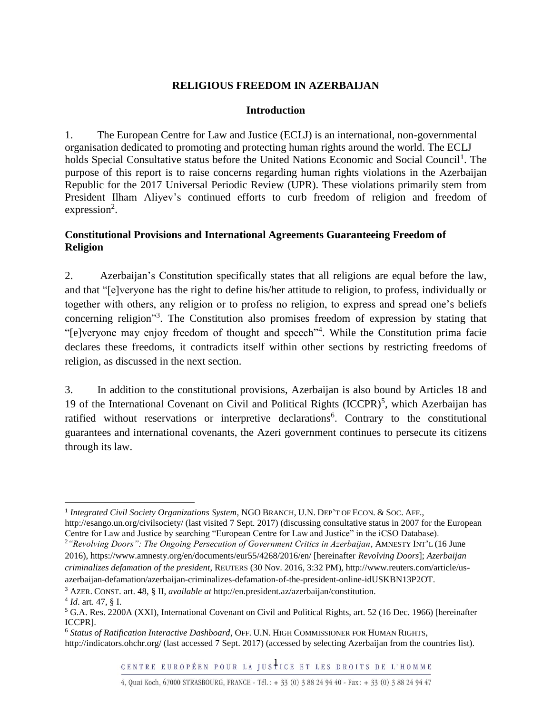### **RELIGIOUS FREEDOM IN AZERBAIJAN**

#### **Introduction**

1. The European Centre for Law and Justice (ECLJ) is an international, non-governmental organisation dedicated to promoting and protecting human rights around the world. The ECLJ holds Special Consultative status before the United Nations Economic and Social Council<sup>1</sup>. The purpose of this report is to raise concerns regarding human rights violations in the Azerbaijan Republic for the 2017 Universal Periodic Review (UPR). These violations primarily stem from President Ilham Aliyev's continued efforts to curb freedom of religion and freedom of  $expression<sup>2</sup>$ .

### **Constitutional Provisions and International Agreements Guaranteeing Freedom of Religion**

2. Azerbaijan's Constitution specifically states that all religions are equal before the law, and that "[e]veryone has the right to define his/her attitude to religion, to profess, individually or together with others, any religion or to profess no religion, to express and spread one's beliefs concerning religion"<sup>3</sup>. The Constitution also promises freedom of expression by stating that "[e]veryone may enjoy freedom of thought and speech"<sup>4</sup>. While the Constitution prima facie declares these freedoms, it contradicts itself within other sections by restricting freedoms of religion, as discussed in the next section.

3. In addition to the constitutional provisions, Azerbaijan is also bound by Articles 18 and 19 of the International Covenant on Civil and Political Rights  $(ICCPR)^5$ , which Azerbaijan has ratified without reservations or interpretive declarations<sup>6</sup>. Contrary to the constitutional guarantees and international covenants, the Azeri government continues to persecute its citizens through its law.

 $\overline{\phantom{a}}$ 

<sup>&</sup>lt;sup>1</sup> Integrated Civil Society Organizations System, NGO BRANCH, U.N. DEP'T OF ECON. & SOC. AFF., http://esango.un.org/civilsociety/ (last visited 7 Sept. 2017) (discussing consultative status in 2007 for the European Centre for Law and Justice by searching "European Centre for Law and Justice" in the iCSO Database).

<sup>2</sup>*"Revolving Doors": The Ongoing Persecution of Government Critics in Azerbaijan*, AMNESTY INT'L (16 June 2016), https://www.amnesty.org/en/documents/eur55/4268/2016/en/ [hereinafter *Revolving Doors*]; *Azerbaijan criminalizes defamation of the president*, REUTERS (30 Nov. 2016, 3:32 PM), http://www.reuters.com/article/usazerbaijan-defamation/azerbaijan-criminalizes-defamation-of-the-president-online-idUSKBN13P2OT.

<sup>3</sup> AZER. CONST. art. 48, § II, *available at* http://en.president.az/azerbaijan/constitution.

<sup>4</sup> *Id*. art. 47, § I.

<sup>5</sup> G.A. Res. 2200A (XXI), International Covenant on Civil and Political Rights, art. 52 (16 Dec. 1966) [hereinafter ICCPR].

<sup>6</sup> *Status of Ratification Interactive Dashboard*, OFF. U.N. HIGH COMMISSIONER FOR HUMAN RIGHTS, http://indicators.ohchr.org/ (last accessed 7 Sept. 2017) (accessed by selecting Azerbaijan from the countries list).

<sup>4,</sup> Quai Koch, 67000 STRASBOURG, FRANCE - Tél.: + 33 (0) 3 88 24 94 40 - Fax: + 33 (0) 3 88 24 94 47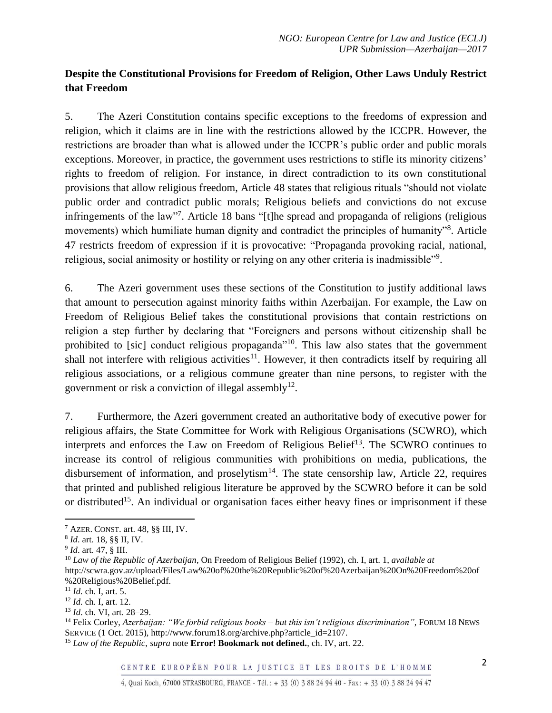# **Despite the Constitutional Provisions for Freedom of Religion, Other Laws Unduly Restrict that Freedom**

5. The Azeri Constitution contains specific exceptions to the freedoms of expression and religion, which it claims are in line with the restrictions allowed by the ICCPR. However, the restrictions are broader than what is allowed under the ICCPR's public order and public morals exceptions. Moreover, in practice, the government uses restrictions to stifle its minority citizens' rights to freedom of religion. For instance, in direct contradiction to its own constitutional provisions that allow religious freedom, Article 48 states that religious rituals "should not violate public order and contradict public morals; Religious beliefs and convictions do not excuse infringements of the law"<sup>7</sup>. Article 18 bans "[t]he spread and propaganda of religions (religious movements) which humiliate human dignity and contradict the principles of humanity"<sup>8</sup>. Article 47 restricts freedom of expression if it is provocative: "Propaganda provoking racial, national, religious, social animosity or hostility or relying on any other criteria is inadmissible"<sup>9</sup>.

6. The Azeri government uses these sections of the Constitution to justify additional laws that amount to persecution against minority faiths within Azerbaijan. For example, the Law on Freedom of Religious Belief takes the constitutional provisions that contain restrictions on religion a step further by declaring that "Foreigners and persons without citizenship shall be prohibited to [sic] conduct religious propaganda"<sup>10</sup>. This law also states that the government shall not interfere with religious activities<sup>11</sup>. However, it then contradicts itself by requiring all religious associations, or a religious commune greater than nine persons, to register with the government or risk a conviction of illegal assembly<sup>12</sup>.

7. Furthermore, the Azeri government created an authoritative body of executive power for religious affairs, the State Committee for Work with Religious Organisations (SCWRO), which interprets and enforces the Law on Freedom of Religious Belief<sup>13</sup>. The SCWRO continues to increase its control of religious communities with prohibitions on media, publications, the disbursement of information, and proselytism $14$ . The state censorship law, Article 22, requires that printed and published religious literature be approved by the SCWRO before it can be sold or distributed<sup>15</sup>. An individual or organisation faces either heavy fines or imprisonment if these

<span id="page-2-0"></span> $\overline{\phantom{a}}$ 

 $^7$  AZER. CONST. art. 48, §§ III, IV.

<sup>8</sup> *Id*. art. 18, §§ II, IV.

<sup>9</sup> *Id*. art. 47, § III.

<sup>10</sup> *Law of the Republic of Azerbaijan*, On Freedom of Religious Belief (1992), ch. I, art. 1, *available at* http://scwra.gov.az/upload/Files/Law%20of%20the%20Republic%20of%20Azerbaijan%20On%20Freedom%20of %20Religious%20Belief.pdf.

<sup>11</sup> *Id.* ch. I, art. 5.

<sup>12</sup> *Id.* ch. I, art. 12.

<sup>13</sup> *Id*. ch. VI, art. 28–29.

<sup>14</sup> Felix Corley, *Azerbaijan: "We forbid religious books – but this isn't religious discrimination"*, FORUM 18 NEWS SERVICE (1 Oct. 2015), http://www.forum18.org/archive.php?article\_id=2107.

<sup>15</sup> *Law of the Republic*, *supra* note **Error! Bookmark not defined.**, ch. IV, art. 22.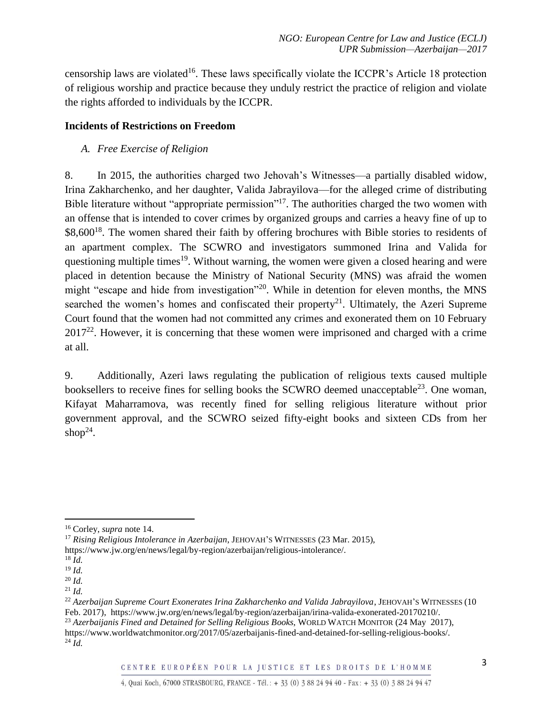censorship laws are violated<sup>16</sup>. These laws specifically violate the ICCPR's Article 18 protection of religious worship and practice because they unduly restrict the practice of religion and violate the rights afforded to individuals by the ICCPR.

## **Incidents of Restrictions on Freedom**

*A. Free Exercise of Religion*

8. In 2015, the authorities charged two Jehovah's Witnesses—a partially disabled widow, Irina Zakharchenko, and her daughter, Valida Jabrayilova—for the alleged crime of distributing Bible literature without "appropriate permission"<sup>17</sup>. The authorities charged the two women with an offense that is intended to cover crimes by organized groups and carries a heavy fine of up to  $$8,600<sup>18</sup>$ . The women shared their faith by offering brochures with Bible stories to residents of an apartment complex. The SCWRO and investigators summoned Irina and Valida for questioning multiple times<sup>19</sup>. Without warning, the women were given a closed hearing and were placed in detention because the Ministry of National Security (MNS) was afraid the women might "escape and hide from investigation"<sup>20</sup>. While in detention for eleven months, the MNS searched the women's homes and confiscated their property<sup>21</sup>. Ultimately, the Azeri Supreme Court found that the women had not committed any crimes and exonerated them on 10 February  $2017<sup>22</sup>$ . However, it is concerning that these women were imprisoned and charged with a crime at all.

9. Additionally, Azeri laws regulating the publication of religious texts caused multiple booksellers to receive fines for selling books the SCWRO deemed unacceptable<sup>23</sup>. One woman, Kifayat Maharramova, was recently fined for selling religious literature without prior government approval, and the SCWRO seized fifty-eight books and sixteen CDs from her shop<sup>24</sup>.

 $\overline{\phantom{a}}$ <sup>16</sup> Corley, *supra* note [14.](#page-2-0)

<sup>17</sup> *Rising Religious Intolerance in Azerbaijan*, JEHOVAH'S WITNESSES (23 Mar. 2015), https://www.jw.org/en/news/legal/by-region/azerbaijan/religious-intolerance/.

<sup>18</sup> *Id.*

<sup>19</sup> *Id.*

<sup>20</sup> *Id.*

<sup>21</sup> *Id.*

<sup>22</sup> *Azerbaijan Supreme Court Exonerates Irina Zakharchenko and Valida Jabrayilova*, JEHOVAH'S WITNESSES (10 Feb. 2017), https://www.jw.org/en/news/legal/by-region/azerbaijan/irina-valida-exonerated-20170210/. <sup>23</sup> *Azerbaijanis Fined and Detained for Selling Religious Books*, WORLD WATCH MONITOR (24 May 2017), https://www.worldwatchmonitor.org/2017/05/azerbaijanis-fined-and-detained-for-selling-religious-books/.  $^{24}$  *Id.*